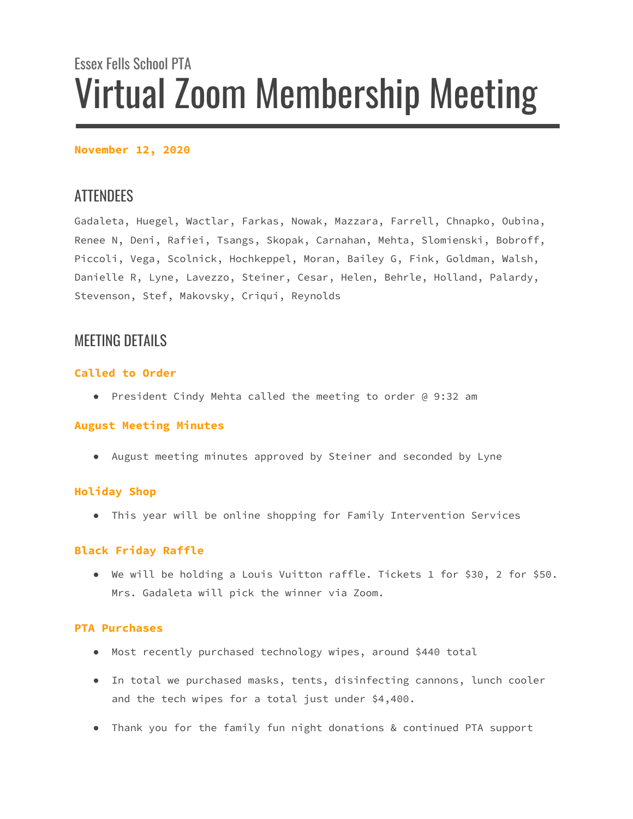# Essex Fells School PTA Virtual Zoom Membership Meeting

# **November 12, 2020**

# **ATTENDEES**

Gadaleta, Huegel, Wactlar, Farkas, Nowak, Mazzara, Farrell, Chnapko, Oubina, Renee N, Deni, Rafiei, Tsangs, Skopak, Carnahan, Mehta, Slomienski, Bobroff, Piccoli, Vega, Scolnick, Hochkeppel, Moran, Bailey G, Fink, Goldman, Walsh, Danielle R, Lyne, Lavezzo, Steiner, Cesar, Helen, Behrle, Holland, Palardy, Stevenson, Stef, Makovsky, Criqui, Reynolds

# MEETING DETAILS

# **Called to Order**

● President Cindy Mehta called the meeting to order @ 9:32 am

# **August Meeting Minutes**

● August meeting minutes approved by Steiner and seconded by Lyne

# **Holiday Shop**

● This year will be online shopping for Family Intervention Services

# **Black Friday Raffle**

● We will be holding a Louis Vuitton raffle. Tickets 1 for \$30, 2 for \$50. Mrs. Gadaleta will pick the winner via Zoom.

# **PTA Purchases**

- Most recently purchased technology wipes, around \$440 total
- In total we purchased masks, tents, disinfecting cannons, lunch cooler and the tech wipes for a total just under \$4,400.
- Thank you for the family fun night donations & continued PTA support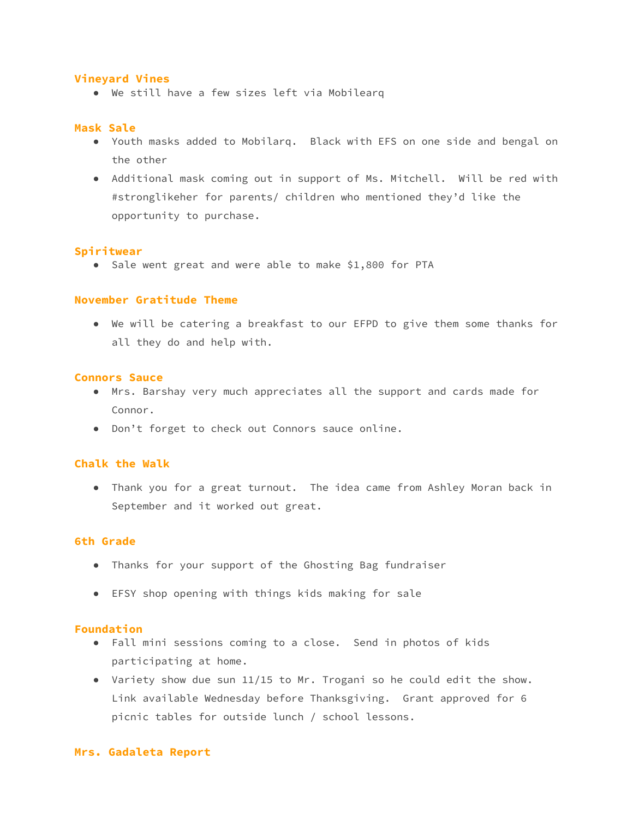### **Vineyard Vines**

● We still have a few sizes left via Mobilearq

#### **Mask Sale**

- Youth masks added to Mobilarq. Black with EFS on one side and bengal on the other
- Additional mask coming out in support of Ms. Mitchell. Will be red with #stronglikeher for parents/ children who mentioned they'd like the opportunity to purchase.

#### **Spiritwear**

● Sale went great and were able to make \$1,800 for PTA

#### **November Gratitude Theme**

● We will be catering a breakfast to our EFPD to give them some thanks for all they do and help with.

#### **Connors Sauce**

- Mrs. Barshay very much appreciates all the support and cards made for Connor.
- Don't forget to check out Connors sauce online.

# **Chalk the Walk**

● Thank you for a great turnout. The idea came from Ashley Moran back in September and it worked out great.

# **6th Grade**

- Thanks for your support of the Ghosting Bag fundraiser
- EFSY shop opening with things kids making for sale

#### **Foundation**

- Fall mini sessions coming to a close. Send in photos of kids participating at home.
- Variety show due sun 11/15 to Mr. Trogani so he could edit the show. Link available Wednesday before Thanksgiving. Grant approved for 6 picnic tables for outside lunch / school lessons.

#### **Mrs. Gadaleta Report**